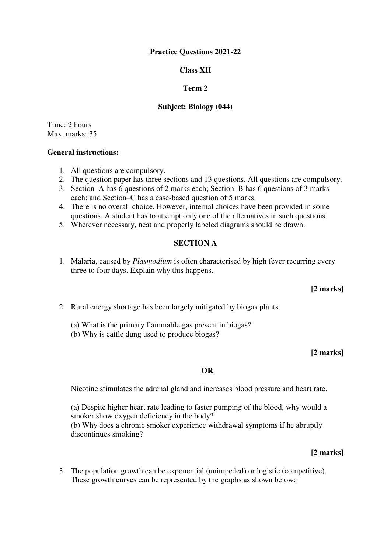## **Practice Questions 2021-22**

## **Class XII**

## **Term 2**

## **Subject: Biology (044)**

Time: 2 hours Max. marks: 35

## **General instructions:**

- 1. All questions are compulsory.
- 2. The question paper has three sections and 13 questions. All questions are compulsory.
- 3. Section–A has 6 questions of 2 marks each; Section–B has 6 questions of 3 marks each; and Section–C has a case-based question of 5 marks.
- 4. There is no overall choice. However, internal choices have been provided in some questions. A student has to attempt only one of the alternatives in such questions.
- 5. Wherever necessary, neat and properly labeled diagrams should be drawn.

### **SECTION A**

1. Malaria, caused by *Plasmodium* is often characterised by high fever recurring every three to four days. Explain why this happens.

### **[2 marks]**

- 2. Rural energy shortage has been largely mitigated by biogas plants.
	- (a) What is the primary flammable gas present in biogas?
	- (b) Why is cattle dung used to produce biogas?

### **[2 marks]**

### **OR**

Nicotine stimulates the adrenal gland and increases blood pressure and heart rate.

(a) Despite higher heart rate leading to faster pumping of the blood, why would a smoker show oxygen deficiency in the body? (b) Why does a chronic smoker experience withdrawal symptoms if he abruptly discontinues smoking?

### **[2 marks]**

3. The population growth can be exponential (unimpeded) or logistic (competitive). These growth curves can be represented by the graphs as shown below: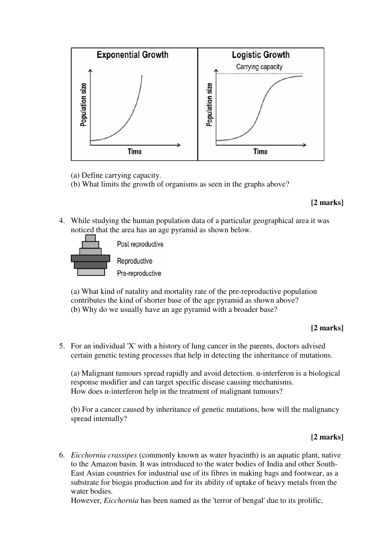

- (a) Define carrying capacity.
- (b) What limits the growth of organisms as seen in the graphs above?

## **[2 marks]**

4. While studying the human population data of a particular geographical area it was noticed that the area has an age pyramid as shown below.



(a) What kind of natality and mortality rate of the pre-reproductive population contributes the kind of shorter base of the age pyramid as shown above? (b) Why do we usually have an age pyramid with a broader base?

# **[2 marks]**

5. For an individual 'X' with a history of lung cancer in the parents, doctors advised certain genetic testing processes that help in detecting the inheritance of mutations.

(a) Malignant tumours spread rapidly and avoid detection. α-interferon is a biological response modifier and can target specific disease causing mechanisms. How does α-interferon help in the treatment of malignant tumours?

(b) For a cancer caused by inheritance of genetic mutations, how will the malignancy spread internally?

# **[2 marks]**

6. *Eicchornia crassipes* (commonly known as water hyacinth) is an aquatic plant, native to the Amazon basin. It was introduced to the water bodies of India and other South-East Asian countries for industrial use of its fibres in making bags and footwear, as a substrate for biogas production and for its ability of uptake of heavy metals from the water bodies.

However, *Eicchornia* has been named as the 'terror of bengal' due to its prolific,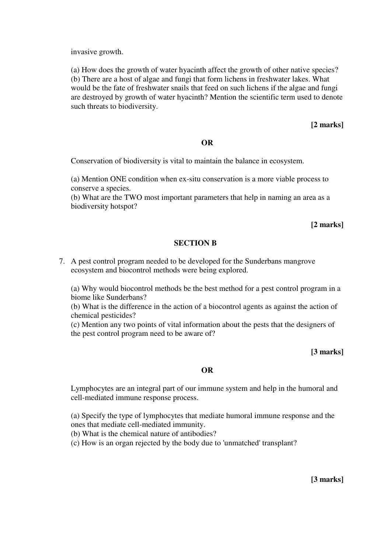invasive growth.

(a) How does the growth of water hyacinth affect the growth of other native species? (b) There are a host of algae and fungi that form lichens in freshwater lakes. What would be the fate of freshwater snails that feed on such lichens if the algae and fungi are destroyed by growth of water hyacinth? Mention the scientific term used to denote such threats to biodiversity.

### **[2 marks]**

#### **OR**

Conservation of biodiversity is vital to maintain the balance in ecosystem.

(a) Mention ONE condition when ex-situ conservation is a more viable process to conserve a species.

(b) What are the TWO most important parameters that help in naming an area as a biodiversity hotspot?

**[2 marks]**

#### **SECTION B**

7. A pest control program needed to be developed for the Sunderbans mangrove ecosystem and biocontrol methods were being explored.

(a) Why would biocontrol methods be the best method for a pest control program in a biome like Sunderbans?

(b) What is the difference in the action of a biocontrol agents as against the action of chemical pesticides?

(c) Mention any two points of vital information about the pests that the designers of the pest control program need to be aware of?

## **[3 marks]**

## **OR**

Lymphocytes are an integral part of our immune system and help in the humoral and cell-mediated immune response process.

(a) Specify the type of lymphocytes that mediate humoral immune response and the ones that mediate cell-mediated immunity.

(b) What is the chemical nature of antibodies?

(c) How is an organ rejected by the body due to 'unmatched' transplant?

**[3 marks]**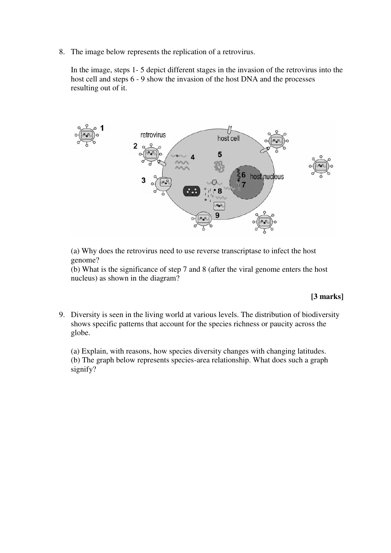8. The image below represents the replication of a retrovirus.

In the image, steps 1- 5 depict different stages in the invasion of the retrovirus into the host cell and steps 6 - 9 show the invasion of the host DNA and the processes resulting out of it.



(a) Why does the retrovirus need to use reverse transcriptase to infect the host genome?

(b) What is the significance of step 7 and 8 (after the viral genome enters the host nucleus) as shown in the diagram?

## **[3 marks]**

9. Diversity is seen in the living world at various levels. The distribution of biodiversity shows specific patterns that account for the species richness or paucity across the globe.

(a) Explain, with reasons, how species diversity changes with changing latitudes. (b) The graph below represents species-area relationship. What does such a graph signify?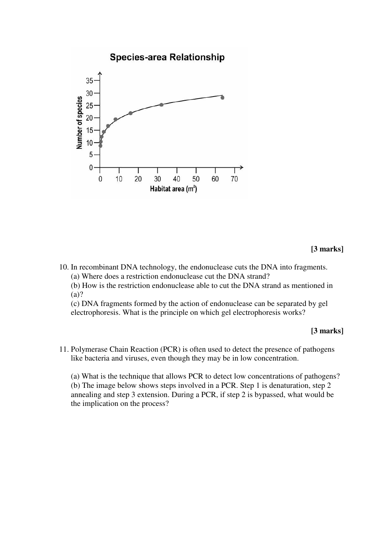

**[3 marks]**

10. In recombinant DNA technology, the endonuclease cuts the DNA into fragments. (a) Where does a restriction endonuclease cut the DNA strand?

(b) How is the restriction endonuclease able to cut the DNA strand as mentioned in (a)?

(c) DNA fragments formed by the action of endonuclease can be separated by gel electrophoresis. What is the principle on which gel electrophoresis works?

### **[3 marks]**

11. Polymerase Chain Reaction (PCR) is often used to detect the presence of pathogens like bacteria and viruses, even though they may be in low concentration.

(a) What is the technique that allows PCR to detect low concentrations of pathogens? (b) The image below shows steps involved in a PCR. Step 1 is denaturation, step 2 annealing and step 3 extension. During a PCR, if step 2 is bypassed, what would be the implication on the process?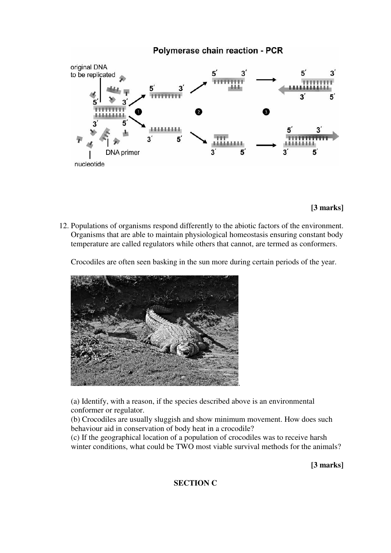

# **[3 marks]**

12. Populations of organisms respond differently to the abiotic factors of the environment. Organisms that are able to maintain physiological homeostasis ensuring constant body temperature are called regulators while others that cannot, are termed as conformers.

Crocodiles are often seen basking in the sun more during certain periods of the year.



(a) Identify, with a reason, if the species described above is an environmental conformer or regulator.

(b) Crocodiles are usually sluggish and show minimum movement. How does such behaviour aid in conservation of body heat in a crocodile?

(c) If the geographical location of a population of crocodiles was to receive harsh winter conditions, what could be TWO most viable survival methods for the animals?

**[3 marks]**

# **SECTION C**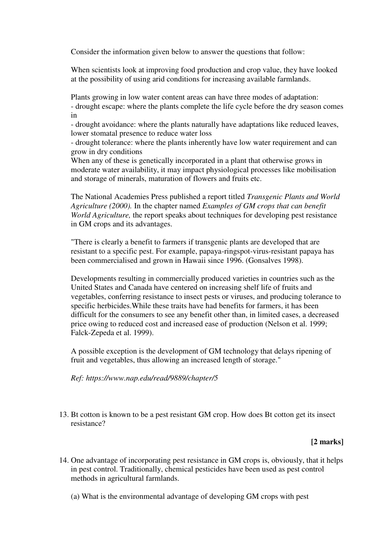Consider the information given below to answer the questions that follow:

When scientists look at improving food production and crop value, they have looked at the possibility of using arid conditions for increasing available farmlands.

Plants growing in low water content areas can have three modes of adaptation: - drought escape: where the plants complete the life cycle before the dry season comes in

- drought avoidance: where the plants naturally have adaptations like reduced leaves, lower stomatal presence to reduce water loss

- drought tolerance: where the plants inherently have low water requirement and can grow in dry conditions

When any of these is genetically incorporated in a plant that otherwise grows in moderate water availability, it may impact physiological processes like mobilisation and storage of minerals, maturation of flowers and fruits etc.

The National Academies Press published a report titled *Transgenic Plants and World Agriculture (2000).* In the chapter named *Examples of GM crops that can benefit World Agriculture,* the report speaks about techniques for developing pest resistance in GM crops and its advantages.

"There is clearly a benefit to farmers if transgenic plants are developed that are resistant to a specific pest. For example, papaya-ringspot-virus-resistant papaya has been commercialised and grown in Hawaii since 1996. (Gonsalves 1998).

Developments resulting in commercially produced varieties in countries such as the United States and Canada have centered on increasing shelf life of fruits and vegetables, conferring resistance to insect pests or viruses, and producing tolerance to specific herbicides.While these traits have had benefits for farmers, it has been difficult for the consumers to see any benefit other than, in limited cases, a decreased price owing to reduced cost and increased ease of production (Nelson et al. 1999; Falck-Zepeda et al. 1999).

A possible exception is the development of GM technology that delays ripening of fruit and vegetables, thus allowing an increased length of storage."

*Ref: https://www.nap.edu/read/9889/chapter/5*

13. Bt cotton is known to be a pest resistant GM crop. How does Bt cotton get its insect resistance?

# **[2 marks]**

- 14. One advantage of incorporating pest resistance in GM crops is, obviously, that it helps in pest control. Traditionally, chemical pesticides have been used as pest control methods in agricultural farmlands.
	- (a) What is the environmental advantage of developing GM crops with pest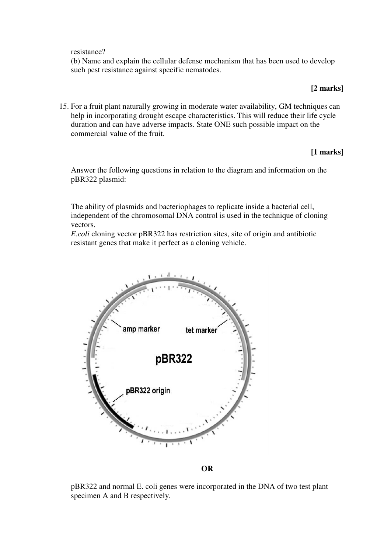resistance?

(b) Name and explain the cellular defense mechanism that has been used to develop such pest resistance against specific nematodes.

## **[2 marks]**

15. For a fruit plant naturally growing in moderate water availability, GM techniques can help in incorporating drought escape characteristics. This will reduce their life cycle duration and can have adverse impacts. State ONE such possible impact on the commercial value of the fruit.

# **[1 marks]**

Answer the following questions in relation to the diagram and information on the pBR322 plasmid:

The ability of plasmids and bacteriophages to replicate inside a bacterial cell, independent of the chromosomal DNA control is used in the technique of cloning vectors.

*E.coli* cloning vector pBR322 has restriction sites, site of origin and antibiotic resistant genes that make it perfect as a cloning vehicle.



### **OR**

pBR322 and normal E. coli genes were incorporated in the DNA of two test plant specimen A and B respectively.